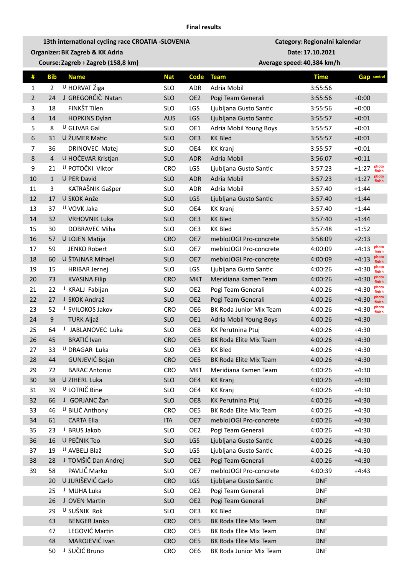**13th international cycling race CROATIA -SLOVENIA Category:Regionalni kalendar Organizer:BK Zagreb & KK Adria Date:17.10.2021**

**Course:Zagreb › Zagreb (158,8 km) Average speed:40,384 km/h**

| #              | <b>Bib</b>     | <b>Name</b>           | <b>Nat</b> | Code            | <b>Team</b>             | <b>Time</b> | <b>Gap</b> control         |
|----------------|----------------|-----------------------|------------|-----------------|-------------------------|-------------|----------------------------|
| $\mathbf{1}$   | $\overline{2}$ | U HORVAT Žiga         | <b>SLO</b> | <b>ADR</b>      | Adria Mobil             | 3:55:56     |                            |
| $\overline{2}$ | 24             | J GREGORČIČ Natan     | <b>SLO</b> | OE <sub>2</sub> | Pogi Team Generali      | 3:55:56     | $+0:00$                    |
| 3              | 18             | FINKŠT Tilen          | <b>SLO</b> | LGS             | Ljubljana Gusto Santic  | 3:55:56     | $+0:00$                    |
| 4              | 14             | <b>HOPKINS Dylan</b>  | <b>AUS</b> | LGS             | Ljubljana Gusto Santic  | 3:55:57     | $+0:01$                    |
| 5              | 8              | U GLIVAR Gal          | <b>SLO</b> | OE1             | Adria Mobil Young Boys  | 3:55:57     | $+0:01$                    |
| 6              | 31             | U ŽUMER Matic         | <b>SLO</b> | OE3             | <b>KK Bled</b>          | 3:55:57     | $+0:01$                    |
| 7              | 36             | <b>DRINOVEC Matej</b> | <b>SLO</b> | OE4             | <b>KK Kranj</b>         | 3:55:57     | $+0:01$                    |
| 8              | 4              | U HOČEVAR Kristjan    | <b>SLO</b> | <b>ADR</b>      | <b>Adria Mobil</b>      | 3:56:07     | $+0:11$                    |
| 9              | 21             | U POTOČKI Viktor      | <b>CRO</b> | LGS             | Ljubljana Gusto Santic  | 3:57:23     | photo<br>$+1:27$<br>finish |
| 10             | $\mathbf{1}$   | U PER David           | <b>SLO</b> | <b>ADR</b>      | Adria Mobil             | 3:57:23     | photo<br>$+1:27$<br>finish |
| 11             | 3              | KATRAŠNIK Gašper      | <b>SLO</b> | <b>ADR</b>      | Adria Mobil             | 3:57:40     | $+1:44$                    |
| 12             | 17             | U SKOK Anže           | <b>SLO</b> | LGS             | Ljubljana Gusto Santic  | 3:57:40     | $+1:44$                    |
| 13             | 37             | U VOVK Jaka           | <b>SLO</b> | OE4             | <b>KK Kranj</b>         | 3:57:40     | $+1:44$                    |
| 14             | 32             | <b>VRHOVNIK Luka</b>  | <b>SLO</b> | OE3             | <b>KK Bled</b>          | 3:57:40     | $+1:44$                    |
| 15             | 30             | DOBRAVEC Miha         | <b>SLO</b> | OE3             | <b>KK Bled</b>          | 3:57:48     | $+1:52$                    |
| 16             | 57             | U LOJEN Matija        | <b>CRO</b> | OE7             | mebloJOGI Pro-concrete  | 3:58:09     | $+2:13$                    |
| 17             | 59             | <b>JENKO Robert</b>   | <b>SLO</b> | OE7             | mebloJOGI Pro-concrete  | 4:00:09     | photo<br>$+4:13$<br>finish |
| 18             | 60             | U ŠTAJNAR Mihael      | <b>SLO</b> | OE7             | mebloJOGI Pro-concrete  | 4:00:09     | photo<br>$+4:13$<br>finish |
| 19             | 15             | <b>HRIBAR Jernej</b>  | <b>SLO</b> | LGS             | Ljubljana Gusto Santic  | 4:00:26     | photo<br>$+4:30$<br>finish |
| 20             | 73             | <b>KVASINA Filip</b>  | <b>CRO</b> | <b>MKT</b>      | Meridiana Kamen Team    | 4:00:26     | photo<br>$+4:30$<br>finish |
| 21             | 22             | J KRALJ Fabijan       | <b>SLO</b> | OE <sub>2</sub> | Pogi Team Generali      | 4:00:26     | photo<br>$+4:30$<br>finish |
| 22             | 27             | J SKOK Andraž         | <b>SLO</b> | OE <sub>2</sub> | Pogi Team Generali      | 4:00:26     | photo<br>$+4:30$<br>finish |
| 23             | 52             | J SVILOKOS Jakov      | <b>CRO</b> | OE6             | BK Roda Junior Mix Team | 4:00:26     | photo<br>$+4:30$<br>finish |
| 24             | $9\,$          | <b>TURK Aljaž</b>     | <b>SLO</b> | OE1             | Adria Mobil Young Boys  | 4:00:26     | $+4:30$                    |
| 25             | 64             | J JABLANOVEC Luka     | <b>SLO</b> | OE8             | KK Perutnina Ptuj       | 4:00:26     | $+4:30$                    |
| 26             | 45             | <b>BRATIĆ Ivan</b>    | <b>CRO</b> | OE5             | BK Roda Elite Mix Team  | 4:00:26     | $+4:30$                    |
| 27             | 33             | U DRAGAR Luka         | <b>SLO</b> | OE3             | <b>KK Bled</b>          | 4:00:26     | $+4:30$                    |
| 28             | 44             | GUNJEVIĆ Bojan        | <b>CRO</b> | OE5             | BK Roda Elite Mix Team  | 4:00:26     | $+4:30$                    |
| 29             | 72             | <b>BARAC Antonio</b>  | <b>CRO</b> | <b>MKT</b>      | Meridiana Kamen Team    | 4:00:26     | $+4:30$                    |
| 30             | 38             | U ZIHERL Luka         | <b>SLO</b> | OE4             | <b>KK Kranj</b>         | 4:00:26     | $+4:30$                    |
| 31             | 39             | U LOTRIČ Bine         | <b>SLO</b> | OE4             | <b>KK Kranj</b>         | 4:00:26     | $+4:30$                    |
| 32             | 66             | J GORJANC Žan         | <b>SLO</b> | OE8             | KK Perutnina Ptuj       | 4:00:26     | $+4:30$                    |
| 33             | 46             | U BILIĆ Anthony       | <b>CRO</b> | OE5             | BK Roda Elite Mix Team  | 4:00:26     | $+4:30$                    |
| 34             | 61             | <b>CARTA Elia</b>     | <b>ITA</b> | OE7             | mebloJOGI Pro-concrete  | 4:00:26     | $+4:30$                    |
| 35             | 23             | J BRUS Jakob          | <b>SLO</b> | OE <sub>2</sub> | Pogi Team Generali      | 4:00:26     | $+4:30$                    |
| 36             | 16             | U PEČNIK Teo          | <b>SLO</b> | LGS             | Ljubljana Gusto Santic  | 4:00:26     | $+4:30$                    |
| 37             | 19             | U AVBELJ Blaž         | <b>SLO</b> | LGS             | Ljubljana Gusto Santic  | 4:00:26     | $+4:30$                    |
| 38             | 28             | J TOMŠIČ Dan Andrej   | <b>SLO</b> | OE <sub>2</sub> | Pogi Team Generali      | 4:00:26     | $+4:30$                    |
| 39             | 58             | PAVLIČ Marko          | <b>SLO</b> | OE7             | mebloJOGI Pro-concrete  | 4:00:39     | $+4:43$                    |
|                | 20             | U JURIŠEVIĆ Carlo     | <b>CRO</b> | <b>LGS</b>      | Ljubljana Gusto Santic  | <b>DNF</b>  |                            |
|                | 25             | J MUHA Luka           | <b>SLO</b> | OE <sub>2</sub> | Pogi Team Generali      | <b>DNF</b>  |                            |
|                | 26             | J OVEN Martin         | <b>SLO</b> | OE <sub>2</sub> | Pogi Team Generali      | <b>DNF</b>  |                            |
|                | 29             | U SUŠNIK Rok          | <b>SLO</b> | OE3             | <b>KK Bled</b>          | <b>DNF</b>  |                            |
|                | 43             | <b>BENGER Janko</b>   | <b>CRO</b> | OE5             | BK Roda Elite Mix Team  | <b>DNF</b>  |                            |
|                | 47             | LEGOVIĆ Martin        | <b>CRO</b> | OE5             | BK Roda Elite Mix Team  | <b>DNF</b>  |                            |
|                | 48             | MAROJEVIĆ Ivan        | <b>CRO</b> | OE5             | BK Roda Elite Mix Team  | <b>DNF</b>  |                            |
|                | 50             | J SUČIĆ Bruno         | <b>CRO</b> | OE6             | BK Roda Junior Mix Team | <b>DNF</b>  |                            |